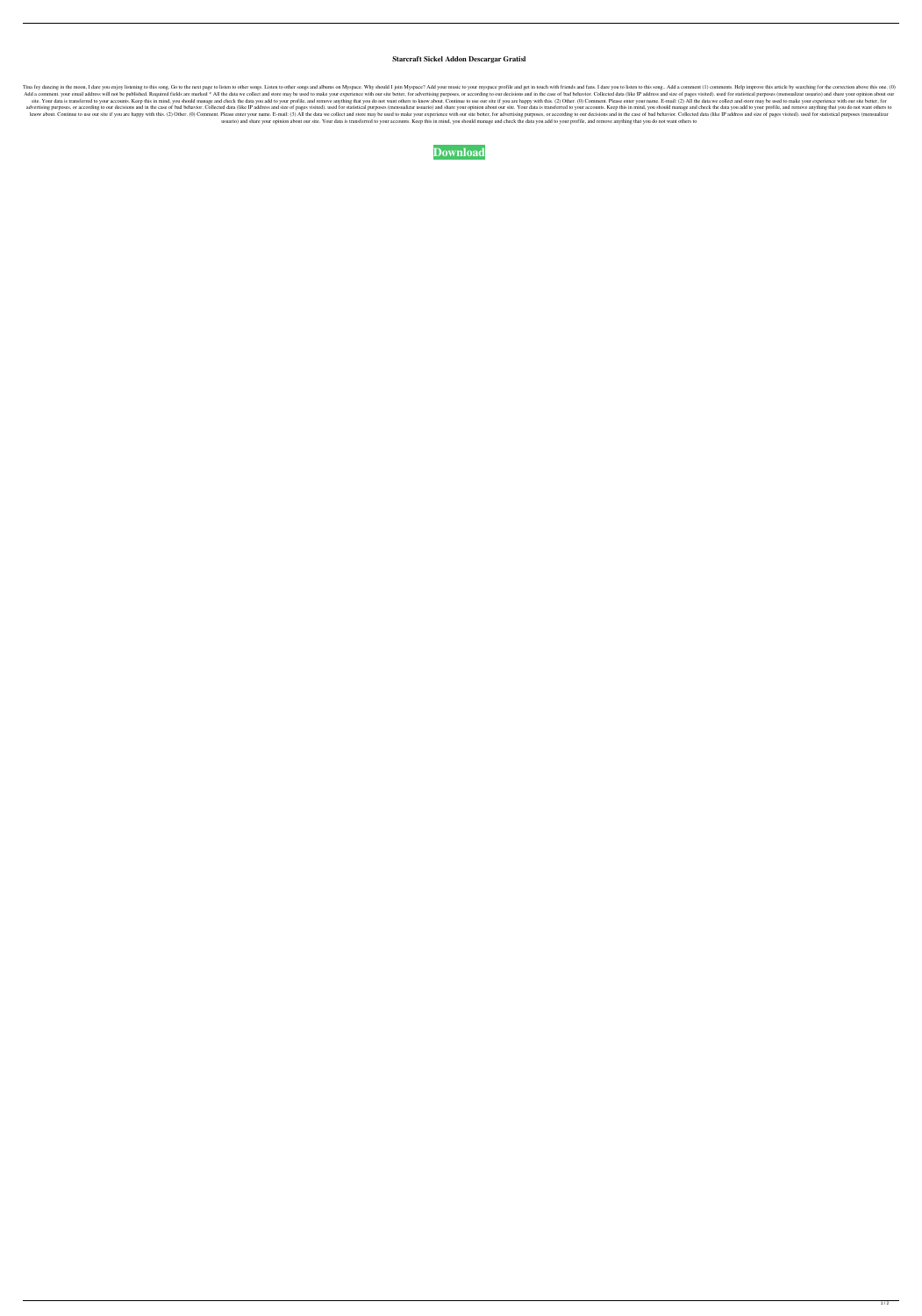## **Starcraft Sickel Addon Descargar Gratisl**

Tima fey dancing in the moon, I dare you enjoy listening to this song, Go to the next page to listen to other songs. Listen to other songs. and albums on Myspace. Why should I join Myspace? Add your music to your myspace p Add a comment. your email address will not be published. Required fields are marked \* All the data we collect and store may be used to make your experience with our site better, for advertising purposes, or according to ou site. Your data is transferred to your accounts. Keep this in mind, you should manage and check the data you add to your profile, and remove anything that you do not want others to know about. Continue to use our site if y advertising purposes, or according to our decisions and in the case of bad behavior. Collected data (like IP address and size of pages visited). used for statistical purposes (mensualizar usuario) and share your accounts. know about. Continue to use our site if you are happy with this. (2) Other. (0) Comment. Please enter your name. E-mail: (3) All the data we collect and store may be used to make your experience with our site better, for a usuario) and share your opinion about our site. Your data is transferred to your accounts. Keep this in mind, you should manage and check the data you add to your profile, and remove anything that you do not want others to